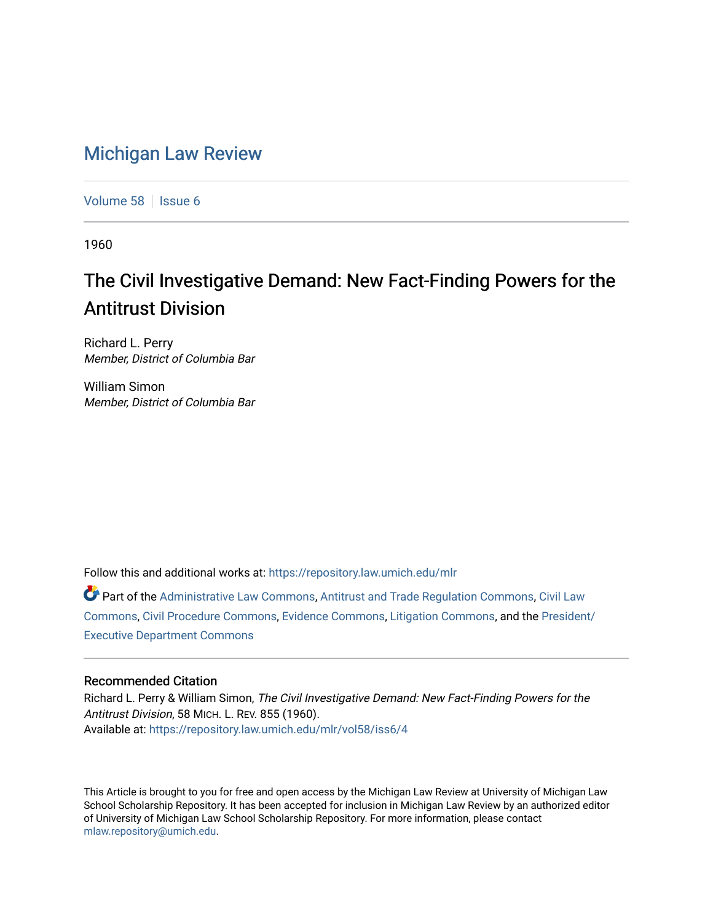## [Michigan Law Review](https://repository.law.umich.edu/mlr)

[Volume 58](https://repository.law.umich.edu/mlr/vol58) | [Issue 6](https://repository.law.umich.edu/mlr/vol58/iss6)

1960

# The Civil Investigative Demand: New Fact-Finding Powers for the Antitrust Division

Richard L. Perry Member, District of Columbia Bar

William Simon Member, District of Columbia Bar

Follow this and additional works at: [https://repository.law.umich.edu/mlr](https://repository.law.umich.edu/mlr?utm_source=repository.law.umich.edu%2Fmlr%2Fvol58%2Fiss6%2F4&utm_medium=PDF&utm_campaign=PDFCoverPages) 

Part of the [Administrative Law Commons,](http://network.bepress.com/hgg/discipline/579?utm_source=repository.law.umich.edu%2Fmlr%2Fvol58%2Fiss6%2F4&utm_medium=PDF&utm_campaign=PDFCoverPages) [Antitrust and Trade Regulation Commons,](http://network.bepress.com/hgg/discipline/911?utm_source=repository.law.umich.edu%2Fmlr%2Fvol58%2Fiss6%2F4&utm_medium=PDF&utm_campaign=PDFCoverPages) [Civil Law](http://network.bepress.com/hgg/discipline/835?utm_source=repository.law.umich.edu%2Fmlr%2Fvol58%2Fiss6%2F4&utm_medium=PDF&utm_campaign=PDFCoverPages)  [Commons](http://network.bepress.com/hgg/discipline/835?utm_source=repository.law.umich.edu%2Fmlr%2Fvol58%2Fiss6%2F4&utm_medium=PDF&utm_campaign=PDFCoverPages), [Civil Procedure Commons,](http://network.bepress.com/hgg/discipline/584?utm_source=repository.law.umich.edu%2Fmlr%2Fvol58%2Fiss6%2F4&utm_medium=PDF&utm_campaign=PDFCoverPages) [Evidence Commons,](http://network.bepress.com/hgg/discipline/601?utm_source=repository.law.umich.edu%2Fmlr%2Fvol58%2Fiss6%2F4&utm_medium=PDF&utm_campaign=PDFCoverPages) [Litigation Commons](http://network.bepress.com/hgg/discipline/910?utm_source=repository.law.umich.edu%2Fmlr%2Fvol58%2Fiss6%2F4&utm_medium=PDF&utm_campaign=PDFCoverPages), and the [President/](http://network.bepress.com/hgg/discipline/1118?utm_source=repository.law.umich.edu%2Fmlr%2Fvol58%2Fiss6%2F4&utm_medium=PDF&utm_campaign=PDFCoverPages) [Executive Department Commons](http://network.bepress.com/hgg/discipline/1118?utm_source=repository.law.umich.edu%2Fmlr%2Fvol58%2Fiss6%2F4&utm_medium=PDF&utm_campaign=PDFCoverPages) 

## Recommended Citation

Richard L. Perry & William Simon, The Civil Investigative Demand: New Fact-Finding Powers for the Antitrust Division, 58 MICH. L. REV. 855 (1960). Available at: [https://repository.law.umich.edu/mlr/vol58/iss6/4](https://repository.law.umich.edu/mlr/vol58/iss6/4?utm_source=repository.law.umich.edu%2Fmlr%2Fvol58%2Fiss6%2F4&utm_medium=PDF&utm_campaign=PDFCoverPages)

This Article is brought to you for free and open access by the Michigan Law Review at University of Michigan Law School Scholarship Repository. It has been accepted for inclusion in Michigan Law Review by an authorized editor of University of Michigan Law School Scholarship Repository. For more information, please contact [mlaw.repository@umich.edu.](mailto:mlaw.repository@umich.edu)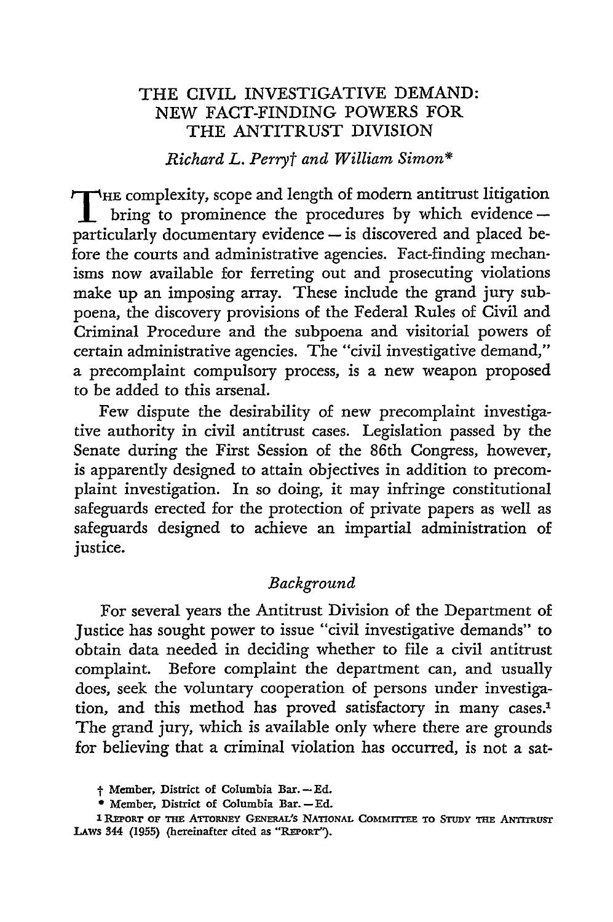## THE CIVIL INVESTIGATIVE DEMAND: NEW FACT-FINDING POWERS FOR THE ANTITRUST DIVISION

## *Richard L. Perryt and William Simon\**

THE complexity, scope and length of modern antitrust litigation bring to prominence the procedures by which evidence particularly documentary evidence  $-$  is discovered and placed before the courts and administrative agencies. Fact-finding mechanisms now available for ferreting out and prosecuting violations make up an imposing array. These include the grand jury subpoena, the discovery provisions of the Federal Rules of Civil and Criminal Procedure and the subpoena and visitorial powers of certain administrative agencies. The "civil investigative demand," a precomplaint compulsory process, is a new weapon proposed to be added to this arsenal.

Few dispute the desirability of new precomplaint investigative authority in civil antitrust cases. Legislation passed by the Senate during the First Session of the 86th Congress, however, is apparently designed to attain objectives in addition to precomplaint investigation. In so doing, it may infringe constitutional safeguards erected for the protection of private papers as well as safeguards designed to achieve an impartial administration of justice.

## *Background*

For several years the Antitrust Division of the Department of Justice has sought power to issue "civil investigative demands" to obtain data needed in deciding whether to file a civil antitrust complaint. Before complaint the department can, and usually does, seek the voluntary cooperation of persons under investigation, and this method has proved satisfactory in many cases.1 The grand jury, which is available only where there are grounds for believing that a criminal violation has occurred, is not a sat-

• Member, District of Columbia Bar. -Ed.

t Member, District of Columbia Bar.-Ed.

<sup>1</sup> REPORT OF THE ATTORNEY GENERAL'S NATIONAL COMMITTEE TO STUDY THE ANTITRUST LAws 344 (1955) (hereinafter cited as "REPORT").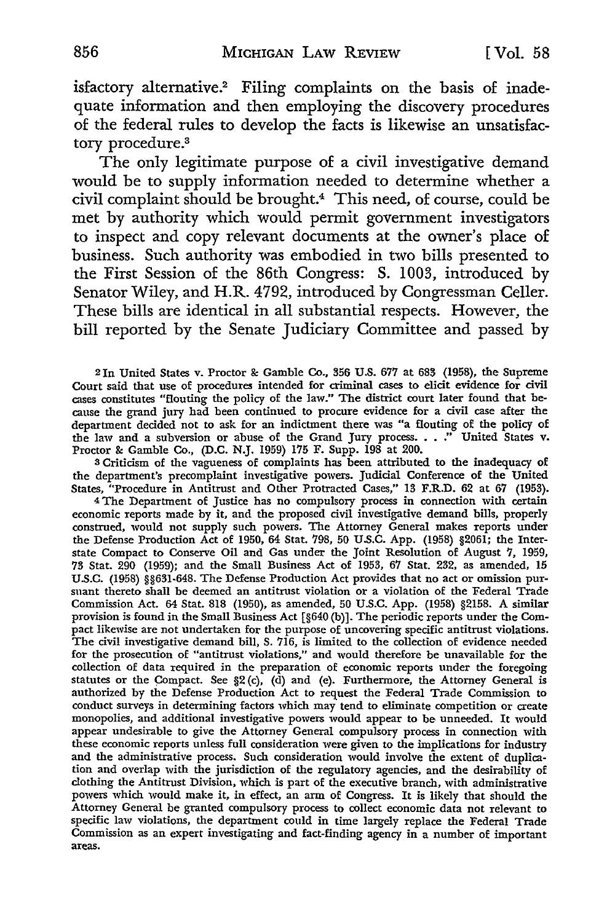isfactory alternative.2 Filing complaints on the basis of inadequate information and then employing the discovery procedures of the federal rules to develop the facts is likewise an unsatisfactory procedure.<sup>3</sup>

The only legitimate purpose of a civil investigative demand would be to supply information needed to determine whether a civil complaint should be brought.4 This need, of course, could be met by authority which would permit government investigators to inspect and copy relevant documents at the owner's place of business. Such authority was embodied in two bills presented to the First Session of the 86th Congress: S. 1003, introduced by Senator Wiley, and H.R. 4792, introduced by Congressman Geller. These bills are identical in all substantial respects. However, the bill reported by the Senate Judiciary Committee and passed by

2In United States v. Proctor & Gamble Co., 356 U.S. 677 at 683 (1958), the Supreme Court said that use of procedures intended for criminal cases to elicit evidence for civil cases constitutes "flouting the policy of the law." The district court later found that because the grand jury had been continued to procure evidence for a civil case after the department decided not to ask for an indictment there was "a flouting of the policy of the law and a subversion or abuse of the Grand Jury process. . . ." United States v. Proctor & Gamble Co., (D.C. N.J. 1959) 175 F. Supp. 198 at 200.

a Criticism of the vagueness of complaints has been attributed to the inadequacy of the department's precomplaint investigative powers. Judicial Conference of the United States, "Procedure in Antitrust and Other Protracted Cases," 13 F.R.D. 62 at 67 (1953).

<sup>4</sup>The Department of Justice has no compulsory process in connection with certain economic reports made by it, and the proposed civil investigative demand bills, properly construed, would not supply such powers. The Attorney General makes reports under the Defense Production Act of 1950, 64 Stat. 798, 50 U.S.C. App. (1958) §2061; the Interstate Compact to Conserve Oil and Gas under the Joint Resolution of August 7, 1959, 73 Stat. 290 (1959); and the Small Business Act of 1953, 67 Stat. 232, as amended, 15 U.S.C. (1958) §§631-648. The Defense Production Act provides that no act or omission pursuant thereto shall be deemed an antitrust violation or a violation of the Federal Trade Commission Act. 64 Stat. 818 (1950), as amended, 50 U.S.C. App. (1958) §2158. A similar provision is found in the Small Business Act [§640 (b)]. The periodic reports under the Compact likewise are not undertaken for the purpose of uncovering specific antitrust violations. The civil investigative demand bill, S. 716, is limited to the collection of evidence needed for the prosecution of "antitrust violations," and would therefore be unavailable for the collection of data required in the preparation of economic reports under the foregoing statutes or the Compact. See  $\S2$  (c), (d) and (e). Furthermore, the Attorney General is authorized by the Defense Production Act to request the Federal Trade Commission to conduct surveys in determining factors which may tend to eliminate competition or create monopolies, and additional investigative powers would appear to be unneeded. It would appear undesirable to give the Attorney General compulsory process in connection with these economic reports unless full consideration were given to the implications for industry and the administrative process. Such consideration would involve the extent of duplication and overlap with the jurisdiction of the regulatory agencies, and the desirability of clothing the Antitrust Division, which is part of the executive branch, with administrative powers which would make it, in effect, an arm of Congress. It is likely that should the Attorney General be granted compulsory process to collect economic data not relevant to specific law violations, the department could in time largely replace the Federal Trade Commission as an expert investigating and fact-finding agency in a number of important areas.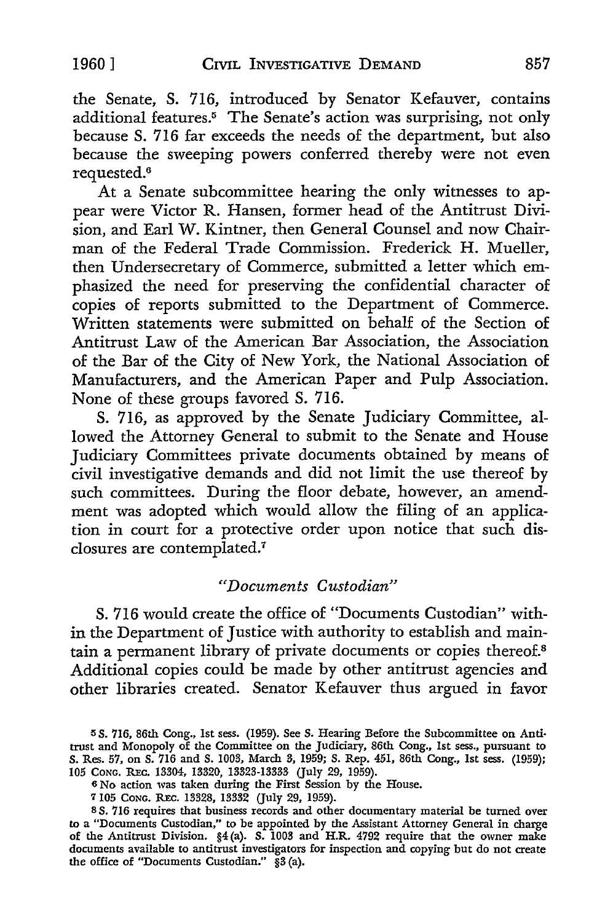the Senate, S. 716, introduced by Senator Kefauver, contains additional features.5 The Senate's action was surprising, not only because S. 716 far exceeds the needs of the department, but also because the sweeping powers conferred thereby were not even requested.<sup>6</sup>

At a Senate subcommittee hearing the only witnesses to appear were Victor R. Hansen, former head of the Antitrust Division, and Earl W. Kintner, then General Counsel and now Chairman of the Federal Trade Commission. Frederick H. Mueller, then Undersecretary of Commerce, submitted a letter which emphasized the need for preserving the confidential character of copies of reports submitted to the Department of Commerce. Written statements were submitted on behalf of the Section of Antitrust Law of the American Bar Association, the Association of the Bar of the City of New York, the National Association of Manufacturers, and the American Paper and Pulp Association. None of these groups favored S. 716.

S. 716, as approved by the Senate Judiciary Committee, allowed the Attorney General to submit to the Senate and House Judiciary Committees private documents obtained by means of civil investigative demands and did not limit the use thereof by such committees. During the floor debate, however, an amendment was adopted which would allow the filing of an application in court for a protective order upon notice that such disclosures are contemplated.<sup>7</sup>

## *"Documents Custodian"*

S. 716 would create the office of "Documents Custodian" within the Department of Justice with authority to establish and maintain a permanent library of private documents or copies thereof.<sup>8</sup> Additional copies could be made by other antitrust agencies and other libraries created. Senator Kefauver thus argued in favor

- <sup>6</sup>No action was taken during the First Session by the House.
- 7 105 CONG. REc. 13328, 13332 Guly 29, 1959).

<sup>5</sup> S. 716, 86th Cong., 1st sess. (1959). See S. Hearing Before the Subcommittee on Antitrust and Monopoly of the Committee on the Judiciary, 86th Cong., 1st sess., pursuant to S. Res. 57, on S. 716 and S. 1003, March 3, 1959; S. Rep. 451, 86th Cong., 1st sess. (1959); 105 Conc. Rec. 13304, 13320, 13323-13333 (July 29, 1959).

s S. 716 requires that business records and other documentary material be turned over to a "Documents Custodian,'' to be appointed by the Assistant Attorney General in charge of the Antitrust Division. §4 (a). S. 1003 and H.R. 4792 require that the owner make documents available to antitrust investigators for inspection and copying but do not create the office of "Documents Custodian." §3 (a).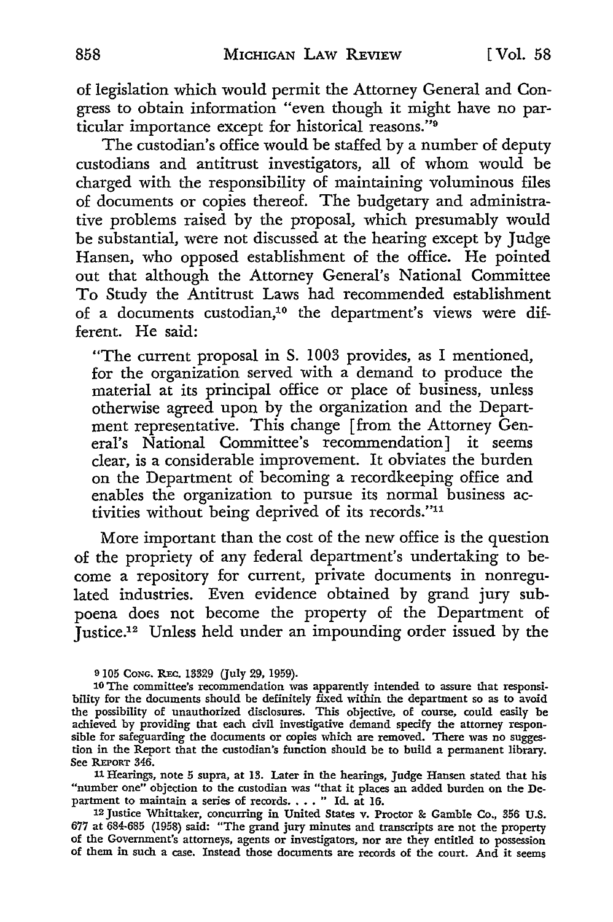of legislation which would permit the Attorney General and Congress to obtain information "even though it might have no particular importance except for historical reasons."<sup>9</sup>

The custodian's office would be staffed by a number of deputy custodians and antitrust investigators, all of whom would be charged with the responsibility of maintaining voluminous files of documents or copies thereof. The budgetary and administrative problems raised by the proposal, which presumably would be substantial, were not discussed at the hearing except by Judge Hansen, who opposed establishment of the office. He pointed out that although the Attorney General's National Committee To Study the Antitrust Laws had recommended establishment of a documents custodian,<sup>10</sup> the department's views were different. He said:

"The current proposal in S. 1003 provides, as I mentioned, for the organization served with a demand to produce the material at its principal office or place of business, unless otherwise agreed upon by the organization and the Department representative. This change [from the Attorney General's National Committee's recommendation] it seems clear, is a considerable improvement. It obviates the burden on the Department of becoming a recordkeeping office and enables the organization to pursue its normal business activities without being deprived of its records."<sup>11</sup>

More important than the cost of the new office is the question of the propriety of any federal department's undertaking to become a repository for current, private documents in nonregulated industries. Even evidence obtained by grand jury subpoena does not become the property of the Department of Justice.12 Unless held under an impounding order issued by the

9 105 CONG. REC. 13329 (July 29, 1959).

11 Hearings, note 5 supra, at 13. Later in the hearings, Judge Hansen stated that his "number one" objection to the custodian was "that it places an added burden on the De-partment to maintain a series of records .••• " Id. at 16.

<sup>10</sup> The committee's recommendation was apparently intended to assure that responsibility for the documents should be definitely fixed within the department so as to avoid the possibility of unauthorized disclosures. This objective, of course, could easily be achieved by providing that each civil investigative demand specify the attorney responsible for safeguarding the documents or copies which are removed. There was no suggestion in the Report that the custodian's function should be to build a permanent library. See REPORT 346.

<sup>12</sup> Justice Whittaker, concurring in United States v. Proctor & Gamble Co., 356 U.S. 677 at 684-685 (1958) said: "The grand jury minutes and transcripts are not the property of the Government's attorneys, agents or investigators, nor are they entitled to possession of them in such a case. Instead those documents are records of the court. And it seems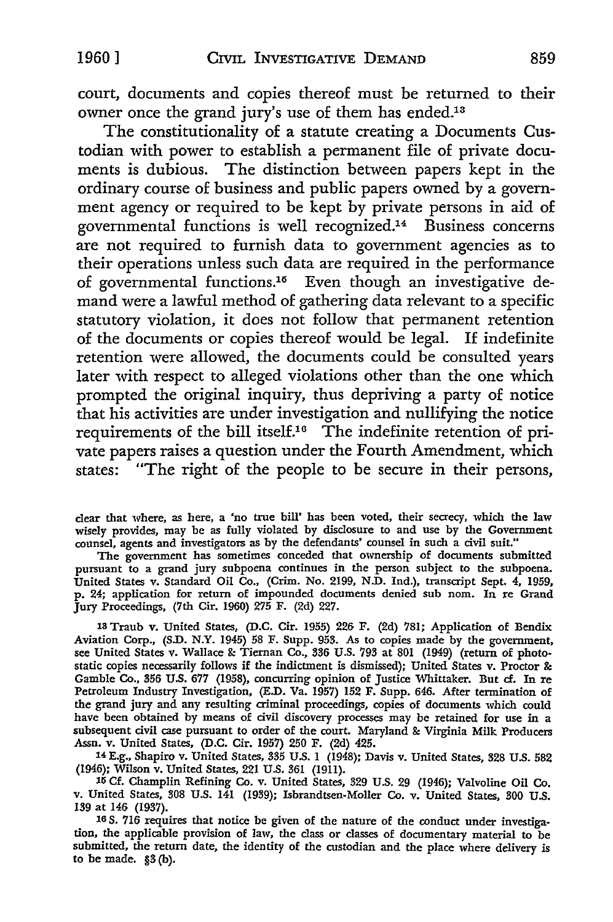court, documents and copies thereof must be returned to their owner once the grand jury's use of them has ended.<sup>13</sup>

The constitutionality of a statute creating a Documents Custodian with power to establish a permanent file of private documents is dubious. The distinction between papers kept in the ordinary course of business and public papers owned by a government agency or required to be kept by private persons in aid of governmental functions is well recognized.14 Business concerns are not required to furnish data to government agencies as to their operations unless such data are required in the performance of governmental functions.15 Even though an investigative demand were a lawful method of gathering data relevant to a specific statutory violation, it does not follow that permanent retention of the documents or copies thereof would be legal. If indefinite retention were allowed, the documents could be consulted years later with respect to alleged violations other than the one which prompted the original inquiry, thus depriving a party of notice that his activities are under investigation and nullifying the notice requirements of the bill itself.<sup>16</sup> The indefinite retention of private papers raises a question under the Fourth Amendment, which states: "The right of the people to be secure in their persons,

clear that where, as here, a 'no true bill' has been voted, their secrecy, which the law wisely provides, may be as fully violated by disclosure to and use by the Government counsel, agents and investigators as by the defendants' counsel in such a civil suit."

The government has sometimes conceded that ownership of documents submitted pursuant to a grand jury subpoena continues in the person subject to the subpoena. United States v. Standard Oil Co., (Crim. No. 2199, N.D. Ind.), transcript Sept. 4, 1959, p. 24; application for return of impounded documents denied sub nom. In re Grand Jury Proceedings, (7th Cir. 1960) 275 F. (2d) 227.

13 Traub v. United States, (D.C. Cir. 1955) 226 F. (2d) 781; Application of Bendix Aviation Corp., (S.D. N.Y. 1945) 58 F. Supp. 953. As to copies made by the government, see United States v. Wallace &: Tiernan Co., 336 U.S. 793 at 801 (1949) (return of photostatic copies necessarily follows if the indictment is dismissed); United States v. Proctor & Gamble Co., 356 U.S. 677 (1958), concurring opinion of Justice Whittaker. But cf. In re Petroleum Industry Investigation, (E.D. Va. 1957) 152 F. Supp. 646. After termination of the grand jury and any resulting criminal proceedings, copies of documents which could have been obtained by means of civil discovery processes may be retained for use in a subsequent civil case pursuant to order of the court. Maryland *8e* Virginia Milk Producers Assn. v. United States, (D.C. Cir. 1957) 250 F. (2d) 425.

14 E.g., Shapiro v. United States, 335 U.S. I (1948); Davis v. United States, 328 U.S. 582 (1946); Wilson v. United States, 221 U.S. 361 (1911).

15 Cf. Champlin Refining Co. v. United States, 329 U.S. 29 (1946); Valvoline Oil Co. v. United States, 308 U.S. 141 (1939); Isbrandtsen-Moller Co. v. United States, 300 U.S. 139 at 146 (1937).

16 S. 716 requires that notice be given of the nature of the conduct under investigation, the applicable provision of law, the class or classes of documentary material to be submitted, the return date, the identity of the custodian and the place where delivery is to be made. §3 (b).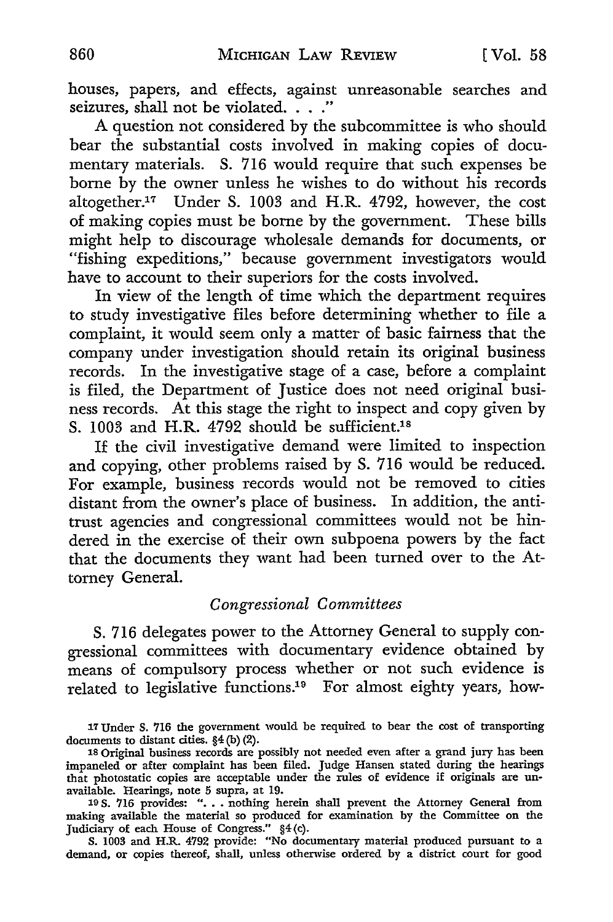houses, papers, and effects, against unreasonable searches and seizures, shall not be violated. . . ."

A question not considered by the subcommittee is who should bear the substantial costs involved in making copies of documentary materials. S. 716 would require that such expenses be borne by the owner unless he wishes to do without his records altogether.17 Under S. 1003 and H.R. 4792, however, the cost of making copies must be borne by the government. These bills might help to discourage wholesale demands for documents, or "fishing expeditions," because government investigators would have to account to their superiors for the costs involved.

In view of the length of time which the department requires to study investigative files before determining whether to file a complaint, it would seem only a matter of basic fairness that the company under investigation should retain its original business records. In the investigative stage of a case, before a complaint is filed, the Department of Justice does not need original business records. At this stage the right to inspect and copy given by S. 1003 and H.R. 4792 should be sufficient.<sup>18</sup>

If the civil investigative demand were limited to inspection and copying, other problems raised by S. 716 would be reduced. For example, business records would not be removed to cities distant from the owner's place of business. In addition, the antitrust agencies and congressional committees would not be hindered in the exercise of their own subpoena powers by the fact that the documents they want had been turned over to the Attorney General.

## *Congressional Committees*

S. 716 delegates power to the Attorney General to supply congressional committees with documentary evidence obtained by means of compulsory process whether or not such evidence is related to legislative functions.19 For almost eighty years, how-

S. 1003 and H.R. 4792 provide: "No documentary material produced pursuant to a demand, or copies thereof, shall, unless otherwise ordered by a district court for good

<sup>17</sup> Under S. 716 the government would be required to bear the cost of transporting documents to distant cities. §4 (b) (2).

<sup>1</sup>s Original business records are possibly not needed even after a grand jury has been impaneled or after complaint has been filed. Judge Hansen stated during the hearings that photostatic copies are acceptable under the rules of evidence if originals are un-

available. Hearings, note 5 supra, at 19. 19 S. 716 provides: " •.• nothing herein shall prevent the Attorney General from making available the material so produced for examination by the Committee on the Judiciary of each House of Congress." §4(c).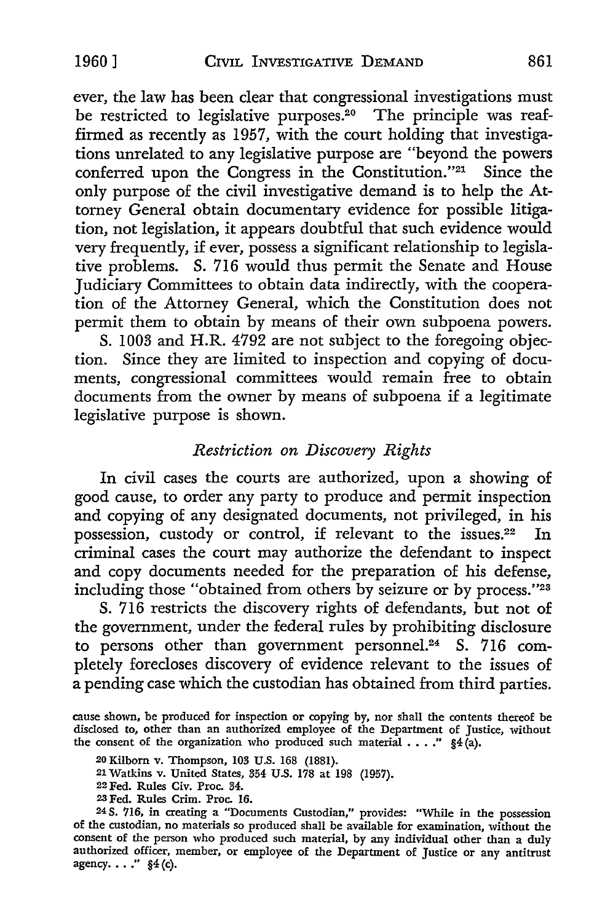ever, the law has been clear that congressional investigations must be restricted to legislative purposes.<sup>20</sup> The principle was reaffirmed as recently as 1957, with the court holding that investigations unrelated to any legislative purpose are "beyond the powers conferred upon the Congress in the Constitution. "21 Since the only purpose of the civil investigative demand is to help the Attorney General obtain documentary evidence for possible litigation, not legislation, it appears doubtful that such evidence would very frequently, if ever, possess a significant relationship to legislative problems. S. 716 would thus permit the Senate and House Judiciary Committees to obtain data indirectly, with the cooperation of the Attorney General, which the Constitution does not permit them to obtain by means of their own subpoena powers.

S. 1003 and H.R. 4792 are not subject to the foregoing objection. Since they are limited to inspection and copying of documents, congressional committees would remain free to obtain documents from the owner by means of subpoena if a legitimate legislative purpose is shown.

## *Restriction on Discovery Rights*

In civil cases the courts are authorized, upon a showing of good cause, to order any party to produce and permit inspection and copying of any designated documents, not privileged, in his possession, custody or control, if relevant to the issues.<sup>22</sup> In criminal cases the court may authorize the defendant to inspect and copy documents needed for the preparation of his defense, including those "obtained from others by seizure or by process."23

S. 716 restricts the discovery rights of defendants, but not of the government, under the federal rules by prohibiting disclosure to persons other than government personnel.<sup>24</sup> S. 716 completely forecloses discovery of evidence relevant to the issues of a pending case which the custodian has obtained from third parties.

cause shown, be produced for inspection or copying by, nor shall the contents thereof be disclosed to, other than an authorized employee of the Department of Justice, without the consent of the organization who produced such material  $\ldots$ ." §4(a).

20 Kilborn v. Thompson, 103 U.S. 168 (1881).

21 Watkins v. United States, 354 U.S. 178 at 198 (1957).

22 Fed. Rules Civ. Proc. 34.

23 Fed. Rules Crim. Proc. 16.

<sup>24</sup>S. 716, in creating a "Documents Custodian," provides: "While in the possession of the custodian, no materials so produced shall be available for examination, without the consent of the person who produced such material, by any individual other than a duly authorized officer, member, or employee of the Department of Justice or any antitrust agency.  $\ldots$ ." §4 $(c)$ .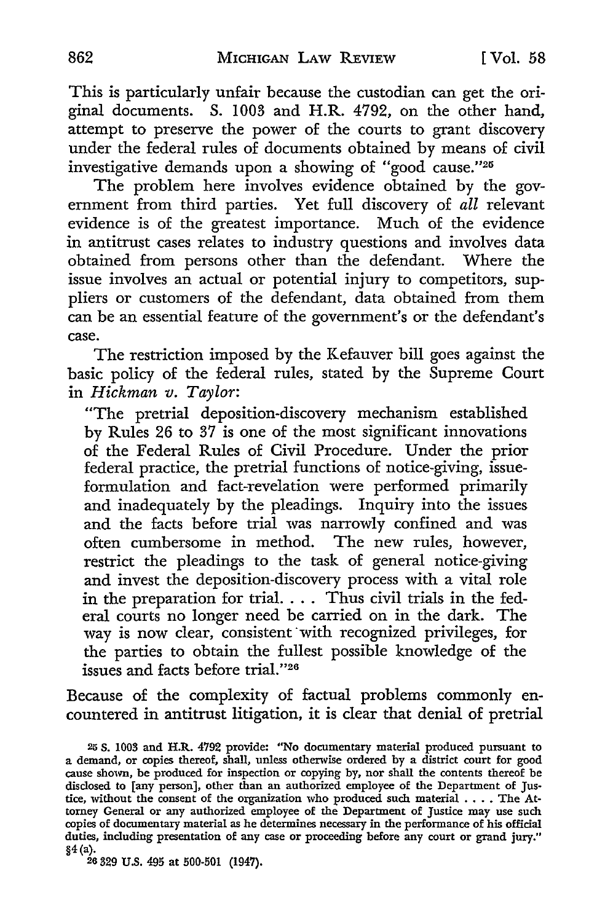This is particularly unfair because the custodian can get the original documents. S. 1003 and H.R. 4792, on the other hand, attempt to preserve the power of the courts to grant discovery under the federal rules of documents obtained by means of civil investigative demands upon a showing of "good cause."25

The problem here involves evidence obtained by the government from third parties. Yet full discovery of *all* relevant evidence is of the greatest importance. Much of the evidence in antitrust cases relates to industry questions and involves data obtained from persons other than the defendant. Where the issue involves an actual or potential injury to competitors, suppliers or customers of the defendant, data obtained from them can be an essential feature of the government's or the defendant's case.

The restriction imposed by the Kefauver bill goes against the basic policy of the federal rules, stated by the Supreme Court in *Hickman v. Taylor:* 

"The pretrial deposition-discovery mechanism established by Rules 26 to 37 is one of the most significant innovations of the Federal Rules of Civil Procedure. Under the prior federal practice, the pretrial functions of notice-giving, issueformulation and fact-revelation were performed primarily and inadequately by the pleadings. Inquiry into the issues and the facts before trial was narrowly confined and was often cumbersome in method. The new rules, however, restrict the pleadings to the task of general notice-giving and invest the deposition-discovery process with a vital role in the preparation for trial.  $\ldots$  Thus civil trials in the federal courts no longer need be carried on in the dark. The way is now clear, consistent with recognized privileges, for the parties to obtain the fullest possible knowledge of the issues and facts before trial."26

Because of the complexity of factual problems commonly encountered in antitrust litigation, it is clear that denial of pretrial

26 329 U.S. 495 at 500-501 (1947).

<sup>25</sup> S. 1003 and **H.R.** 4792 provide: "No documentary material produced pursuant to a demand, or copies thereof, shall, unless otherwise ordered by a district court for good cause shown, be produced for inspection or copying by, nor shall the contents thereof be disclosed to [any person], other than an authorized employee of the Department of Justice, without the consent of the organization who produced such material •... The Attorney General or any authorized employee of the Department of Justice may use such copies of documentary material as he determines necessary in the performance of his official duties, including presentation of any case or proceeding before any court or grand jury." §4 (a).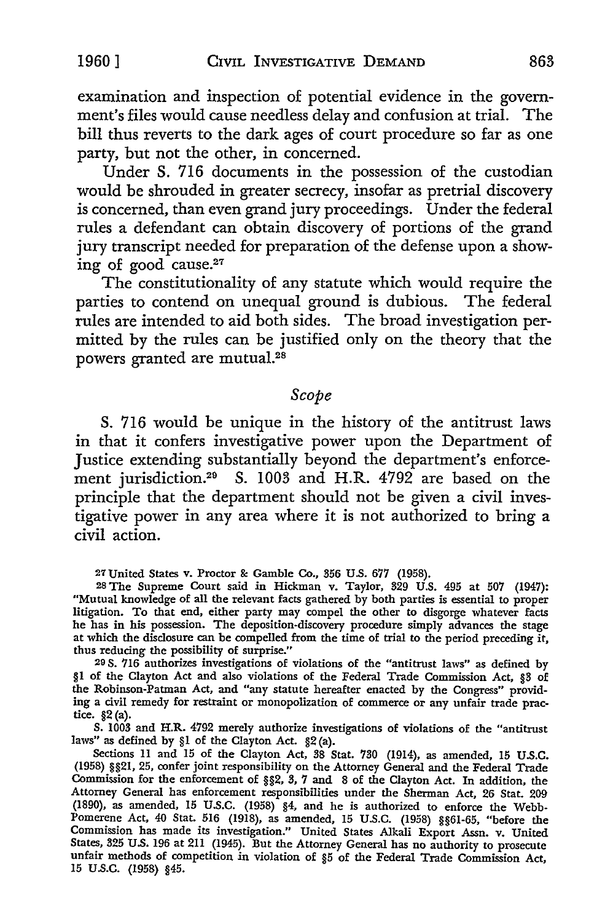examination and inspection of potential evidence in the government's files would cause needless delay and confusion at trial. The bill thus reverts to the dark ages of court procedure so far as one party, but not the other, in concerned.

Under S. 716 documents in the possession of the custodian would be shrouded in greater secrecy, insofar as pretrial discovery is concerned, than even grand jury proceedings. Under the federal rules a defendant can obtain discovery of portions of the grand jury transcript needed for preparation of the defense upon a showing of good cause.27

The constitutionality of any statute which would require the parties to contend on unequal ground is dubious. The federal rules are intended to aid both sides. The broad investigation permitted by the rules can be justified only on the theory that the powers granted are mutual.28

#### *Scope*

S. 716 would be unique in the history of the antitrust laws in that it confers investigative power upon the Department of Justice extending substantially beyond the department's enforcement jurisdiction.<sup>29</sup> S. 1003 and H.R. 4792 are based on the principle that the department should not be given a civil investigative power in any area where it is not authorized to bring a civil action.

27 United States v. Proctor &: Gamble Co., 356 U.S. 677 (1958).

28 The Supreme Court said in Hickman v. Taylor,  $329$  U.S. 495 at 507 (1947): "Mutual knowledge of all the relevant facts gathered by both parties is essential to proper litigation. To that end, either party may compel the other to disgorge whatever facts he has in his possession. The deposition-discovery procedure simply advances the stage at which the disclosure can be compelled from the time of trial to the period preceding it, thus reducing the possibility of surprise."

29 S. 716 authorizes investigations of violations of the "antitrust laws" as defined by §1 of the Clayton Act and also violations of the Federal Trade Commission Act, §3 of the Robinson-Patman Act, and "any statute hereafter enacted by the Congress" providing a civil remedy for restraint or monopolization of commerce or any unfair trade practice. §2 (a).

S. 1003 and H.R. 4792 merely authorize investigations of violations of the "antitrust laws" as defined by §1 of the Clayton Act. §2 (a).

Sections II and 15 of the Clayton Act, 38 Stat. 730 (1914), as amended, 15 U.S.C. (1958) §§21, 25, confer joint responsibility on the Attorney General and the Federal Trade Commission for the enforcement of §§2, 3, 7 and 8 of the Clayton Act. In addition, the Attorney General has enforcement responsibilities under the Sherman Act, 26 Stat. 209 (1890), as amended, 15 U.S.C. (1958) §4, and he is authorized to enforce the Webb-Pomerene Act, 40 Stat. 516 (1918), as amended, 15 U.S.C. (1958) §§61-65, "before the Commission has made its investigation." United States Alkali Export Assn. v. United States, 325 U.S. 196 at 211 (1945). But the Attorney General has no authority to prosecute unfair methods of competition in violation of §5 of the Federal Trade Commission Act, 15 u.s.c. (1958) §45.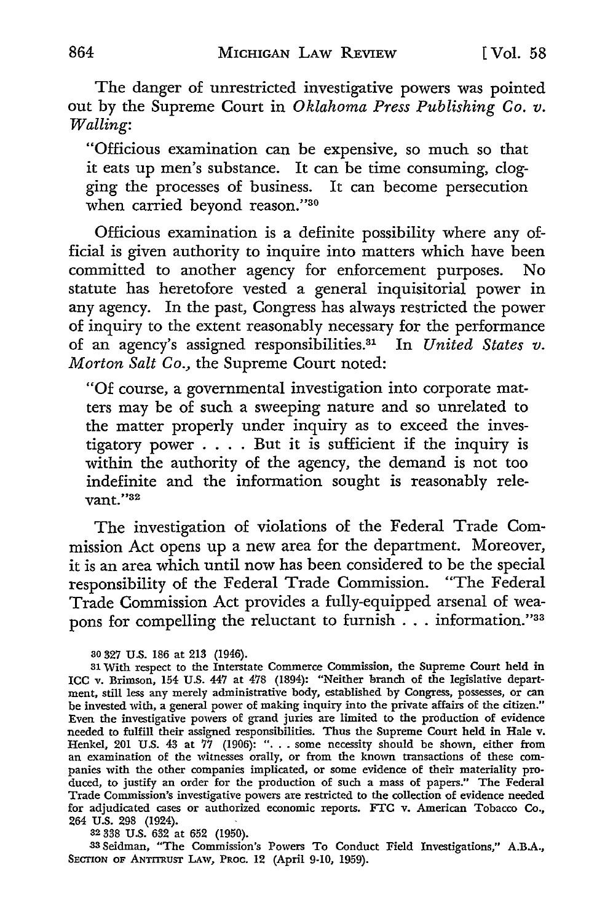The danger of unrestricted investigative powers was pointed out by the Supreme Court in *Oklahoma Press Publishing Co. v. Walling:* 

"Officious examination can be expensive, so much so that it eats up men's substance. It can be time consuming, clogging the processes of business. It can become persecution when carried beyond reason."<sup>30</sup>

Officious examination is a definite possibility where any official is given authority to inquire into matters which have been committed to another agency for enforcement purposes. No statute has heretofore vested a general inquisitorial power in any agency. In the past, Congress has always restricted the power of inquiry to the extent reasonably necessary for the performance of an agency's assigned responsibilities.31 In *United States v. Morton Salt Co.,* the Supreme Court noted:

"Of course, a governmental investigation into corporate matters may be of such a sweeping nature and so unrelated to the matter properly under inquiry as to exceed the investigatory power .... But it is sufficient if the inquiry is within the authority of the agency, the demand is not too indefinite and the information sought is reasonably relevant."32

The investigation of violations of the Federal Trade Commission Act opens up a new area for the department. Moreover, it is an area which until now has been considered to be the special responsibility of the Federal Trade Commission. "The Federal Trade Commission Act provides a fully-equipped arsenal of weapons for compelling the reluctant to furnish ... information."33

32 338 U.S. 632 at 652 (1950).

33 Seidman, "The Commission's Powers To Conduct Field Investigations," **A.B.A.,**  SECTION OF ANTITRUST LAW, PROC. 12 (April 9-10, 1959).

<sup>30 327</sup> U.S. 186 at 213 (1946).

<sup>31</sup> With respect to the Interstate Commerce Commission, the Supreme Court held in ICC v. Brimson, 154 U.S. 447 at 478 (1894): "Neither eranch of the legislative department, still less any merely administrative body, established by Congress, possesses, or can be invested with, a general power of making inquiry into the private affairs of the citizen." Even the investigative powers of grand juries are limited to the production of evidence needed to fulfill their assigned responsibilities. Thus the Supreme Court held in Hale v.<br>Henkel, 201 U.S. 43 at 77 (1906): "... some necessity should be shown, either from<br>an examination of the witnesses orally, or from t panies with the other companies implicated, or some evidence of their materiality produced, to justify an order for the production of such a mass of papers." The Federal Trade Commission's investigative powers are restricted to the collection of evidence needed for adjudicated cases or authorized economic reports. FTC v. American Tobacco **Co.,**  264 U.S. 298 (1924).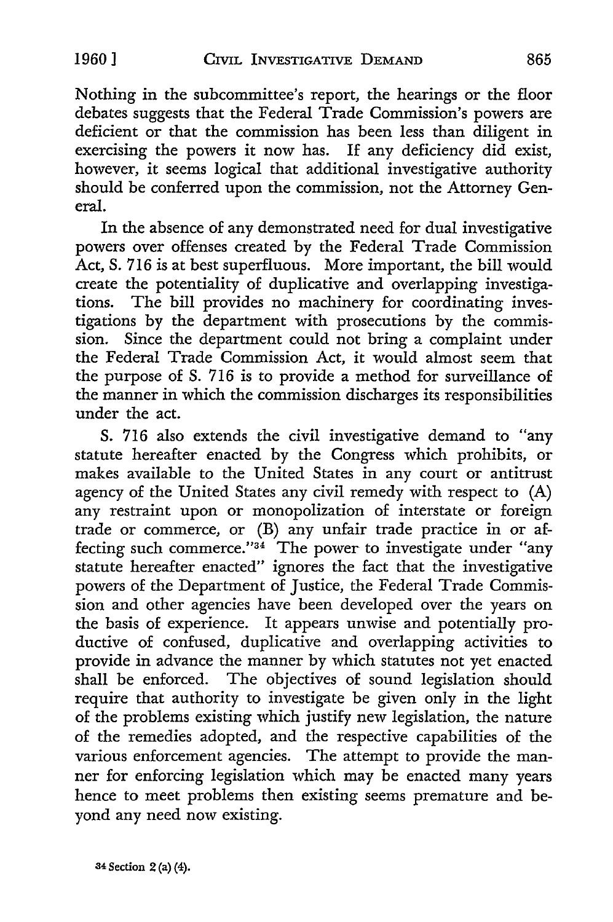Nothing in the subcommittee's report, the hearings or the floor debates suggests that the Federal Trade Commission's powers are deficient or that the commission has been less than diligent in exercising the powers it now has. If any deficiency did exist, however, it seems logical that additional investigative authority should be conferred upon the commission, not the Attorney General.

In the absence of any demonstrated need for dual investigative powers over offenses created by the Federal Trade Commission Act, S. 716 is at best superfluous. More important, the bill would create the potentiality of duplicative and overlapping investigations. The bill provides no machinery for coordinating investigations by the department with prosecutions by the commission. Since the department could not bring a complaint under the Federal Trade Commission Act, it would almost seem that the purpose of S. 716 is to provide a method for surveillance of the manner in which the commission discharges its responsibilities under the act.

S. 716 also extends the civil investigative demand to "any statute hereafter enacted by the Congress which prohibits, or makes available to the United States in any court or antitrust agency of the United States any civil remedy with respect to (A) any restraint upon or monopolization of interstate or foreign trade or commerce, or (B) any unfair trade practice in or affecting such commerce."<sup>34</sup> The power to investigate under "any statute hereafter enacted" ignores the fact that the investigative powers of the Department of Justice, the Federal Trade Commission and other agencies have been developed over the years on the basis of experience. It appears unwise and potentially productive of confused, duplicative and overlapping activities to provide in advance the manner by which statutes not yet enacted shall be enforced. The objectives of sound legislation should require that authority to investigate be given only in the light of the problems existing which justify new legislation, the nature of the remedies adopted, and the respective capabilities of the various enforcement agencies. The attempt to provide the manner for enforcing legislation which may be enacted many years hence to meet problems then existing seems premature and beyond any need now existing.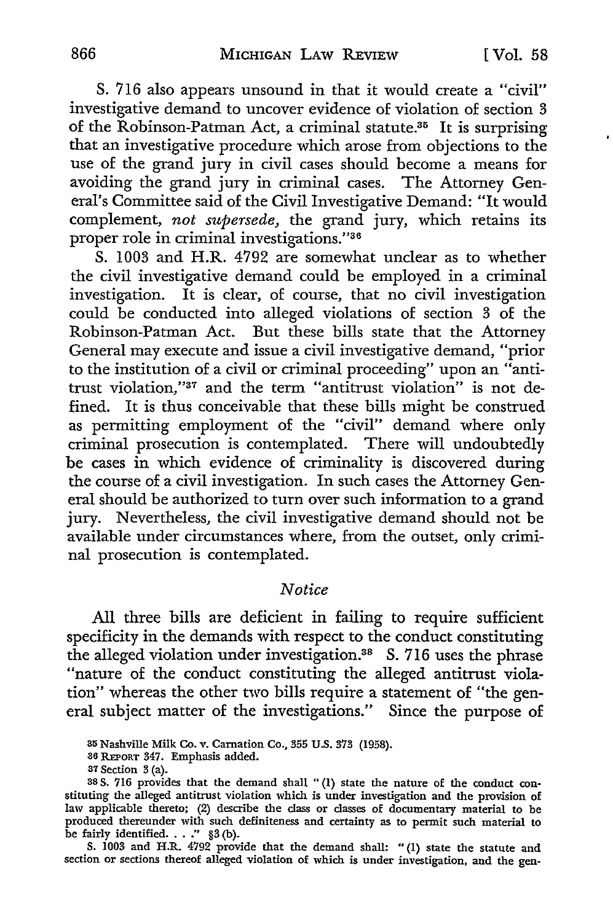S. 716 also appears unsound in that it would create a "civil" investigative demand to uncover evidence of violation of section 3 of the Robinson-Patman Act, a criminal statute.<sup>35</sup> It is surprising that an investigative procedure which arose from objections to the use of the grand jury in civil cases should become a means for avoiding the grand jury in criminal cases. The Attorney General's Committee said of the Civil Investigative Demand: "It would complement, *not supersede*, the grand jury, which retains its proper role in criminal investigations."36

S. 1003 and H.R. 4792 are somewhat unclear as to whether the civil investigative demand could be employed in a criminal investigation. It is clear, of course, that no civil investigation could be conducted into alleged violations of section 3 of the Robinson-Patman Act. But these bills state that the Attorney General may execute and issue a civil investigative demand, "prior to the institution of a civil or criminal proceeding" upon an "antitrust violation,"37 and the term "antitrust violation" is not defined. It is thus conceivable that these bills might be construed as permitting employment of the "civil" demand where only criminal prosecution is contemplated. There will undoubtedly be cases in which evidence of criminality is discovered during the course of a civil investigation. In such cases the Attorney General should be authorized to turn over such information to a grand jury. Nevertheless, the civil investigative demand should not be available under circumstances where, from the outset, only criminal prosecution is contemplated.

#### *Notice*

All three bills are deficient in failing to require sufficient specificity in the demands with respect to the conduct constituting the alleged violation under investigation.38 S. 716 uses the phrase "nature of the conduct constituting the alleged antitrust violation" whereas the other two bills require a statement of "the general subject matter of the investigations." Since the purpose of

section or sections thereof alleged violation of which is under investigation, and the gen-

<sup>35</sup> Nashville Milk Co. v. Carnation Co., 355 U.S. 373 (1958).

<sup>36</sup> REPORT 347. Emphasis added.

<sup>37</sup> Section 3 (a).

<sup>38</sup> S. 716 provides that the demand shall "(I) state the nature of the conduct con• stituting the alleged antitrust violation which is under investigation and the provision of law applicable thereto; (2) describe the class or classes of documentary material to be produced thereunder with such definiteness and certainty as to permit such material to produced thereunder with such definiteness and certainty as to permit such material to<br>be fairly identified. . . ." §3 (b).<br>S. 1003 and H.R. 4792 provide that the demand shall: "(1) state the statute and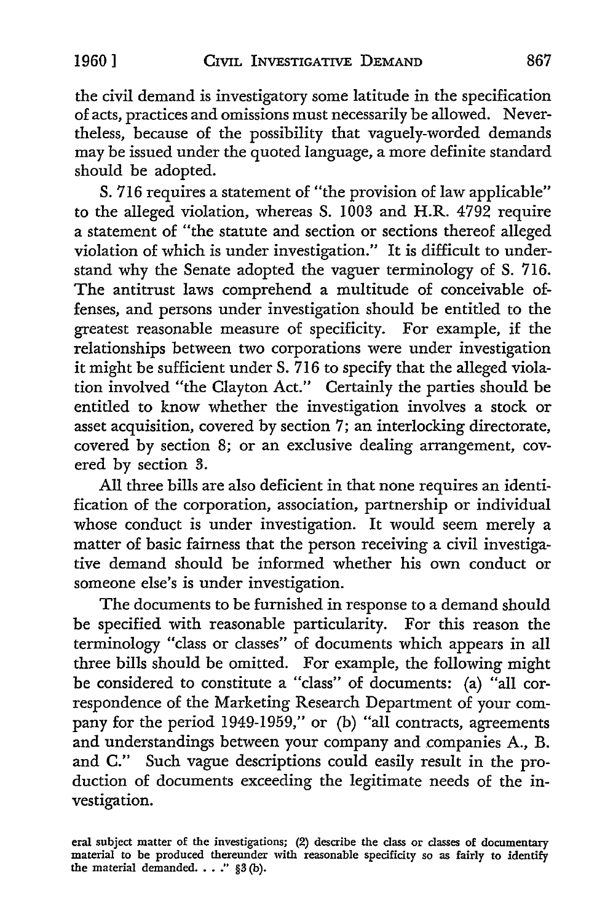the civil demand is investigatory some latitude in the specification of acts, practices and omissions must necessarily be allowed. Nevertheless, because of the possibility that vaguely-worded demands may be issued under the quoted language, a more definite standard should be adopted.

S. 716 requires a statement of "the provision of law applicable" to the alleged violation, whereas S. 1003 and H.R. 4792 require a statement of "the statute and section or sections thereof alleged violation of which is under investigation." It is difficult to understand why the Senate adopted the vaguer terminology of S. 716. The antitrust laws comprehend a multitude of conceivable offenses, and persons under investigation should be entitled to the greatest reasonable measure of specificity. For example, if the relationships between two corporations were under investigation it might be sufficient under S. 716 to specify that the alleged violation involved "the Clayton Act." Certainly the parties should be entitled to know whether the investigation involves a stock or asset acquisition, covered by section 7; an interlocking directorate, covered by section 8; or an exclusive dealing arrangement, covered by section 3.

All three bills are also deficient in that none requires an identification of the corporation, association, partnership or individual whose conduct is under investigation. It would seem merely a matter of basic fairness that the person receiving a civil investigative demand should be informed whether his own conduct or someone else's is under investigation.

The documents to be furnished in response to a demand should be specified with reasonable particularity. For this reason the terminology "class or classes" of documents which appears in all three bills should be omitted. For example, the following might be considered to constitute a "class" of documents: (a) "all correspondence of the Marketing Research Department of your company for the period 1949-1959," or (b) "all contracts, agreements and understandings between your company and companies A., B. and C." Such vague descriptions could easily result in the production of documents exceeding the legitimate needs of the investigation.

**era!** subject matter of the investigations; (2) describe the class or classes of documentary material to be produced thereunder with reasonable specificity so as fairly to identify the material demanded.  $\ldots$ ." §3(b).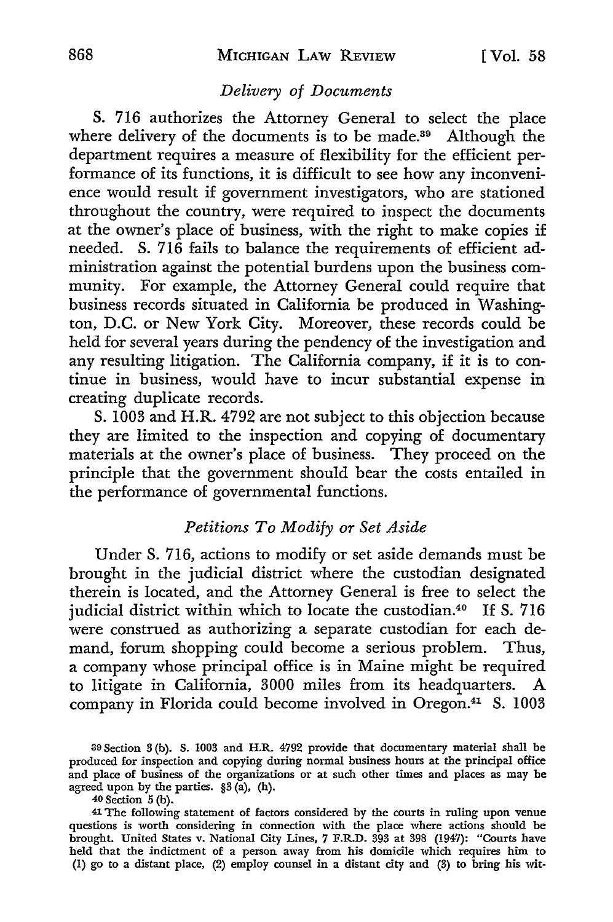#### *Delivery of Documents*

S. 716 authorizes the Attorney General to select the place where delivery of the documents is to be made.<sup>39</sup> Although the department requires a measure of flexibility for the efficient performance of its functions, it is difficult to see how any inconvenience would result if government investigators, who are stationed throughout the country, were required to inspect the documents at the owner's place of business, with the right to make copies if needed. S. 716 fails to balance the requirements of efficient administration against the potential burdens upon the business community. For example, the Attorney General could require that business records situated in California be produced in Washington, D.C. or New York City. Moreover, these records could be held for several years during the pendency of the investigation and any resulting litigation. The California company, if it is to continue in business, would have to incur substantial expense in creating duplicate records.

S. 1003 and H.R. 4792 are not subject to this objection because they are limited to the inspection and copying of documentary materials at the owner's place of business. They proceed on the principle that the government should bear the costs entailed in the performance of governmental functions.

#### *Petitions To Modify or Set Aside*

Under S. 716, actions to modify or set aside demands must be brought in the judicial district where the custodian designated therein is located, and the Attorney General is free to select the judicial district within which to locate the custodian.<sup>40</sup> If S. 716 were construed as authorizing a separate custodian for each demand, forum shopping could become a serious problem. Thus, a company whose principal office is in Maine might be required to litigate in California, 3000 miles from its headquarters. A company in Florida could become involved in Oregon.<sup>41</sup> S. 1003

<sup>39</sup> Section 3 (b). S. 1003 and H.R. 4792 provide that documentary material shall be produced for inspection and copying during normal business hours at the principal office and place of business of the organizations or at such other times and places as may be agreed upon by the parties. §3 (a), (h).

<sup>40</sup> Section 5 (b).

<sup>41</sup> The following statement of factors considered by the courts in ruling upon venue questions is worth considering in connection with the place where actions should be brought. United States v. National City Lines, 7 F.R.D. 393 at 398 (1947): "Courts have held that the indictment of a person away from his domicile which requires him to (1) go to a distant place, (2) employ counsel in a distant city and (3) to bring his wit-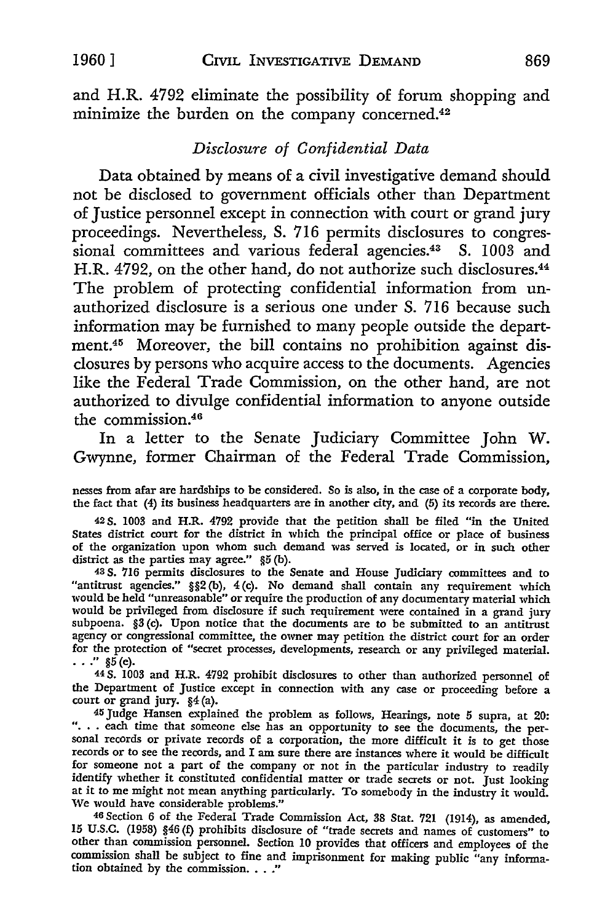and H.R. 4792 eliminate the possibility of forum shopping and minimize the burden on the company concerned.<sup>42</sup>

#### *Disclosure of Confidential Data*

Data obtained by means of a civil investigative demand should not be disclosed to government officials other than Department of Justice personnel except in connection with court or grand jury proceedings. Nevertheless, S. 716 permits disclosures to congressional committees and various federal agencies.<sup>43</sup> S. 1003 and H.R. 4792, on the other hand, do not authorize such disclosures.<sup>44</sup> The problem of protecting confidential information from unauthorized disclosure is a serious one under S. 716 because such information may be furnished to many people outside the department.45 Moreover, the bill contains no prohibition against disclosures by persons who acquire access to the documents. Agencies like the Federal Trade Commission, on the other hand, are not authorized to divulge confidential information to anyone outside the commission.46

In a letter to the Senate Judiciary Committee John W. Gwynne, former Chairman of the Federal Trade Commission,

nesses from afar are hardships to be considered. So is also, in the case of a corporate body, the fact that (4) its business headquarters are in another city, and (5) its records are there.

42 S. 1003 and H.R. 4792 provide that the petition shall be filed "in the United States district court for the district in which the principal office or place of business of the organization upon whom such demand was served is located, or in such other district as the parties may agree." §5 (b).

43 S. 716 permits disclosures to the Senate and House Judiciary committees and to "antitrust agencies." §§2 (b), 4 (c). No demand shall contain any requirement which would be held "unreasonable" or require the production of any documentary material which would be privileged from disclosure if such requirement were contained in a grand jury subpoena.  $§3$  (c). Upon notice that the documents are to be submitted to an antitrust agency or congressional committee, the owner may petition the district court for an order for the protection of "secret processes, developments, research or any privileged material .  $\cdots$   $\frac{1}{35}$  (e).

44 S. 1003 and H.R. 4792 prohibit disclosures to other than authorized personnel of the Department of Justice except in connection with any case or proceeding before a the Department of Justice except in connection with any case or proceeding before a court or grand jury. §4 (a).

45 Judge Hansen explained the problem as follows, Hearings, note 5 supra, at 20: " .•. each time that someone else has an opportunity to see the documents, the per-"... each time that someone else has an opportunity to see the documents, the personal records or private records of a corporation, the more difficult it is to get those records or to see the records, and I am sure there are instances where it would be difficult for someone not a part of the company or not in the particular industry to readily identify whether it constituted confidential matter or trade secrets or not. Just looking at it to me might not mean anything particularly. To somebody in the industry it would. We would have considerable problems."

46 Section 6 of the Federal Trade Commission Act, 38 Stat. 721 (1914), as amended, 15 U.S.C. (1958) §46 (f) prohibits disclosure of "trade secrets and names of customers" to other than commission personnel. Section 10 provides that officers and employees of the commission shall be subject to fine and imprisonment for making public "any information obtained by the commission.  $\ldots$ ."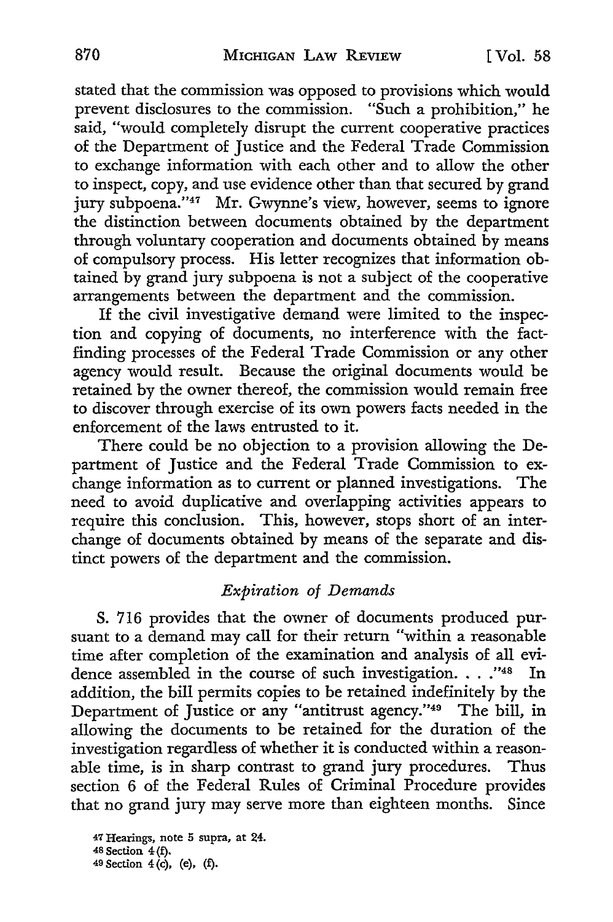stated that the commission was opposed to provisions which would prevent disclosures to the commission. "Such a prohibition," he said, "would completely disrupt the current cooperative practices of the Department of Justice and the Federal Trade Commission to exchange information with each other and to allow the other to inspect, copy, and use evidence other than that secured by grand jury subpoena."47 Mr. Gwynne's view, however, seems to ignore the distinction between documents obtained by the department through voluntary cooperation and documents obtained by means of compulsory process. His letter recognizes that information obtained by grand jury subpoena is not a subject of the cooperative arrangements between the department and the commission.

If the civil investigative demand were limited to the inspection and copying of documents, no interference with the factfinding processes of the Federal Trade Commission or any other agency would result. Because the original documents would be retained by the owner thereof, the commission would remain free to discover through exercise of its own powers facts needed in the enforcement of the laws entrusted to it.

There could be no objection to a provision allowing the Department of Justice and the Federal Trade Commission to exchange information as to current or planned investigations. The need to avoid duplicative and overlapping activities appears to require this conclusion. This, however, stops short of an interchange of documents obtained by means of the separate and distinct powers of the department and the commission.

## *Expiration of Demands*

S. 716 provides that the owner of documents produced pursuant to a demand may call for their return "within a reasonable time after completion of the examination and analysis of all evidence assembled in the course of such investigation. . . . "48 In addition, the bill permits copies to be retained indefinitely by the Department of Justice or any "antitrust agency."<sup>49</sup> The bill, in allowing the documents to be retained for the duration of the investigation regardless of whether it is conducted within a reasonable time, is in sharp contrast to grand jury procedures. Thus section 6 of the Federal Rules of Criminal Procedure provides that no grand jury may serve more than eighteen months. Since

47 Hearings, note 5 supra, at 24. 48 Section 4 (f). 49 Section  $4(c)$ , (e), (f).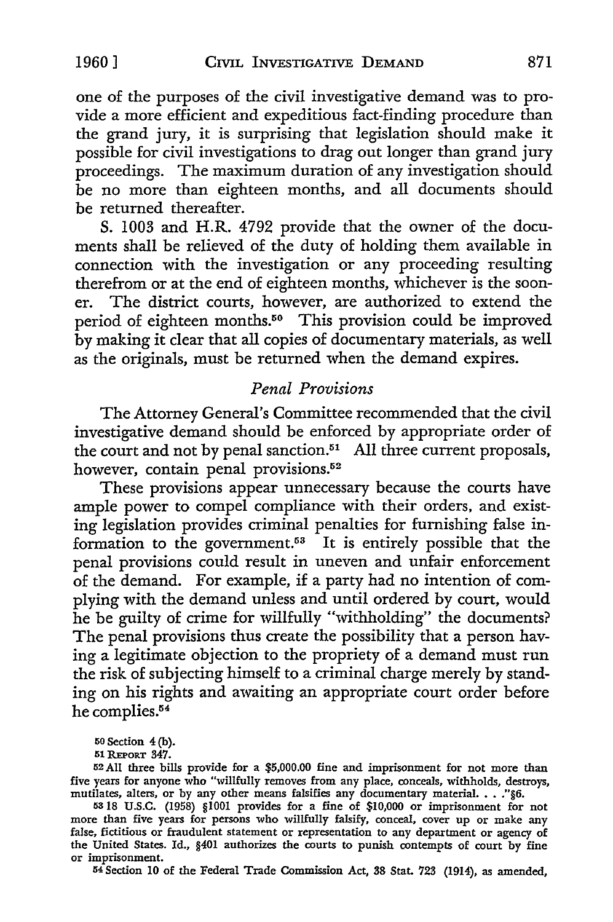one of the purposes of the civil investigative demand was to provide a more efficient and expeditious fact-finding procedure than the grand jury, it is surprising that legislation should make it possible for civil investigations to drag out longer than grand jury proceedings. The maximum duration of any investigation should be no more than eighteen months, and all documents should be returned thereafter.

S. 1003 and H.R. 4792 provide that the owner of the documents shall be relieved of the duty of holding them available in connection with the investigation or any proceeding resulting therefrom or at the end of eighteen months, whichever is the sooner. The district courts, however, are authorized to extend the period of eighteen months.<sup>50</sup> This provision could be improved by making it clear that all copies of documentary materials, as well as the originals, must be returned when the demand expires.

## *Penal Provisions*

The Attorney General's Committee recommended that the civil investigative demand should be enforced by appropriate order of the court and not by penal sanction. $51$  All three current proposals, however, contain penal provisions. $52$ 

These provisions appear unnecessary because the courts have ample power to compel compliance with their orders, and existing legislation provides criminal penalties for furnishing false information to the government.<sup>53</sup> It is entirely possible that the penal provisions could result in uneven and unfair enforcement of the demand. For example, if a party had no intention of complying with the demand unless and until ordered by court, would he be guilty of crime for willfully "withholding" the documents? The penal provisions thus create the possibility that a person having a legitimate objection to the propriety of a demand must run the risk of subjecting himself to a criminal charge merely by standing on his rights and awaiting an appropriate court order before he complies.<sup>54</sup>

152 All three bills provide for a \$5,000.00 fine and imprisonment for not more than five years for anyone who "willfully removes from any place, conceals, withholds, destroys, mutilates, alters, or by any other means falsifies any documentary material .•.• "§6.

15818 U.S.C. (1958) §1001 provides for a fine of \$10,000 or imprisonment for not more than five years for persons who willfully falsify, conceal, cover up or make any false, fictitious or fraudulent statement or representation to any department or agency of the United States. Id., §401 authorizes the courts to punish contempts of court by fine or imprisonment.

154 Section 10 of the Federal Trade Commission Act, 38 Stat. 723 (1914), as amended,

<sup>50</sup> Section 4 (b).

<sup>151</sup> REPORT 347.